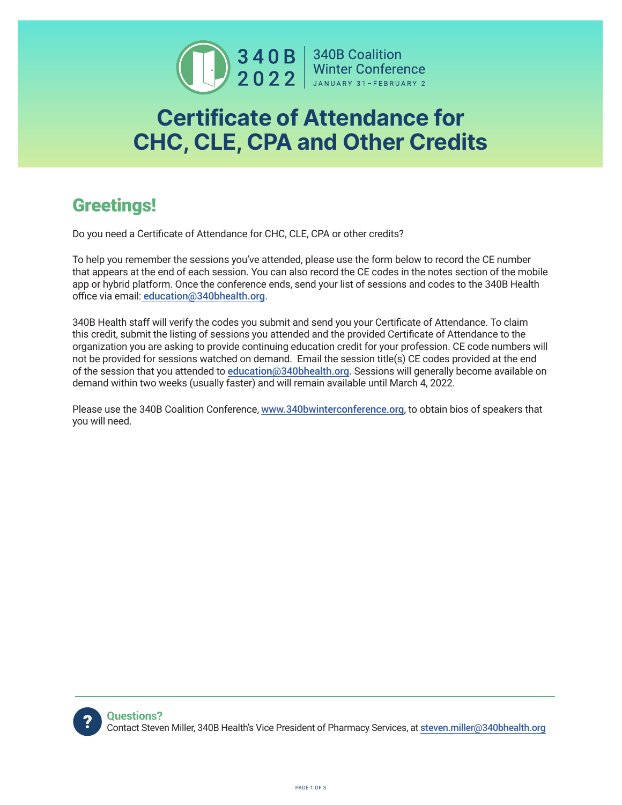

**1990 340 B** 340 B Coalition<br>**2022** Minter Conference

## Certificate of Attendance for CHC, CLE, CPA and Other Credits

## Greetings!

Do you need a Certificate of Attendance for CHC, CLE, CPA or other credits?

To help you remember the sessions you've attended, please use the form below to record the CE number that appears at the end of each session. You can also record the CE codes in the notes section of the mobile app or hybrid platform. Once the conference ends, send your list of sessions and codes to the 340B Health office via email: education@340bhealth.org.

340B Health staff will verify the codes you submit and send you your Certificate of Attendance. To claim this credit, submit the listing of sessions you attended and the provided Certificate of Attendance to the organization you are asking to provide continuing education credit for your profession. CE code numbers will not be provided for sessions watched on demand. Email the session title(s) CE codes provided at the end of the session that you attended to education@340bhealth.org. Sessions will generally become available on demand within two weeks (usually faster) and will remain available until March 4, 2022.

Please use the 340B Coalition Conference, www.340bwinterconference.org, to obtain bios of speakers that you will need.

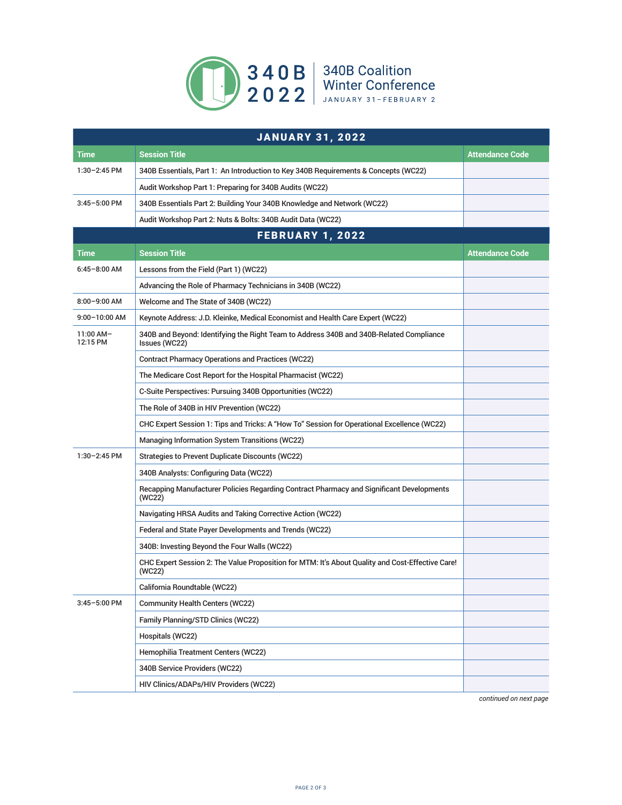

| <b>JANUARY 31, 2022</b> |                                                                                                            |                        |  |
|-------------------------|------------------------------------------------------------------------------------------------------------|------------------------|--|
| <b>Time</b>             | <b>Session Title</b>                                                                                       | <b>Attendance Code</b> |  |
| $1:30-2:45$ PM          | 340B Essentials, Part 1: An Introduction to Key 340B Requirements & Concepts (WC22)                        |                        |  |
|                         | Audit Workshop Part 1: Preparing for 340B Audits (WC22)                                                    |                        |  |
| $3:45 - 5:00$ PM        | 340B Essentials Part 2: Building Your 340B Knowledge and Network (WC22)                                    |                        |  |
|                         | Audit Workshop Part 2: Nuts & Bolts: 340B Audit Data (WC22)                                                |                        |  |
| <b>FEBRUARY 1, 2022</b> |                                                                                                            |                        |  |
| Time                    | <b>Session Title</b>                                                                                       | Attendance Code        |  |
| $6:45 - 8:00$ AM        | Lessons from the Field (Part 1) (WC22)                                                                     |                        |  |
|                         | Advancing the Role of Pharmacy Technicians in 340B (WC22)                                                  |                        |  |
| $8:00 - 9:00$ AM        | Welcome and The State of 340B (WC22)                                                                       |                        |  |
| $9:00 - 10:00$ AM       | Keynote Address: J.D. Kleinke, Medical Economist and Health Care Expert (WC22)                             |                        |  |
| 11:00 AM-<br>12:15 PM   | 340B and Beyond: Identifying the Right Team to Address 340B and 340B-Related Compliance<br>Issues (WC22)   |                        |  |
|                         | <b>Contract Pharmacy Operations and Practices (WC22)</b>                                                   |                        |  |
|                         | The Medicare Cost Report for the Hospital Pharmacist (WC22)                                                |                        |  |
|                         | C-Suite Perspectives: Pursuing 340B Opportunities (WC22)                                                   |                        |  |
|                         | The Role of 340B in HIV Prevention (WC22)                                                                  |                        |  |
|                         | CHC Expert Session 1: Tips and Tricks: A "How To" Session for Operational Excellence (WC22)                |                        |  |
|                         | Managing Information System Transitions (WC22)                                                             |                        |  |
| $1:30-2:45$ PM          | <b>Strategies to Prevent Duplicate Discounts (WC22)</b>                                                    |                        |  |
|                         | 340B Analysts: Configuring Data (WC22)                                                                     |                        |  |
|                         | Recapping Manufacturer Policies Regarding Contract Pharmacy and Significant Developments<br>(WC22)         |                        |  |
|                         | Navigating HRSA Audits and Taking Corrective Action (WC22)                                                 |                        |  |
|                         | Federal and State Payer Developments and Trends (WC22)                                                     |                        |  |
|                         | 340B: Investing Beyond the Four Walls (WC22)                                                               |                        |  |
|                         | CHC Expert Session 2: The Value Proposition for MTM: It's About Quality and Cost-Effective Care!<br>(WC22) |                        |  |
|                         | California Roundtable (WC22)                                                                               |                        |  |
| 3:45-5:00 PM            | <b>Community Health Centers (WC22)</b>                                                                     |                        |  |
|                         | Family Planning/STD Clinics (WC22)                                                                         |                        |  |
|                         | Hospitals (WC22)                                                                                           |                        |  |
|                         | Hemophilia Treatment Centers (WC22)                                                                        |                        |  |
|                         | 340B Service Providers (WC22)                                                                              |                        |  |
|                         | HIV Clinics/ADAPs/HIV Providers (WC22)                                                                     |                        |  |

*continued on next page*